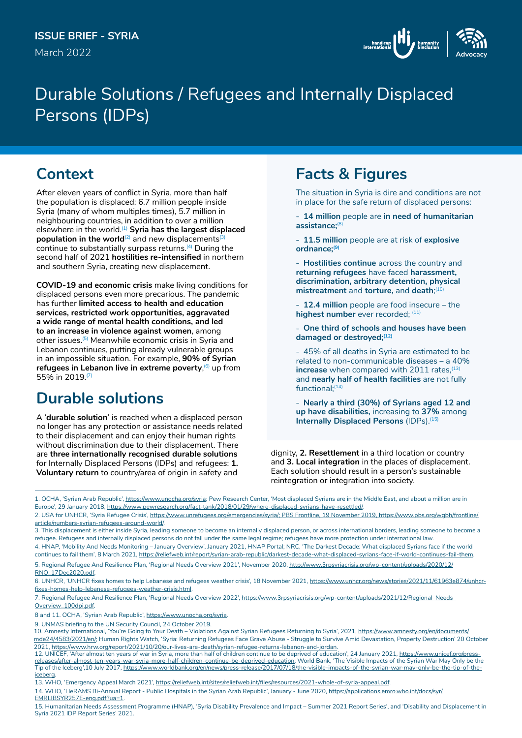

# Durable Solutions / Refugees and Internally Displaced Persons (IDPs)

# **Context**

After eleven years of conflict in Syria, more than half the population is displaced: 6.7 million people inside Syria (many of whom multiples times), 5.7 million in neighbouring countries, in addition to over a million elsewhere in the world.(1) **Syria has the largest displaced population in the world**<sup>(2)</sup> and new displacements<sup>(3)</sup> continue to substantially surpass returns.(4) During the second half of 2021 **hostilities re-intensified** in northern and southern Syria, creating new displacement.

**COVID-19 and economic crisis** make living conditions for displaced persons even more precarious. The pandemic has further **limited access to health and education services, restricted work opportunities, aggravated a wide range of mental health conditions, and led to an increase in violence against women**, among other issues.(5) Meanwhile economic crisis in Syria and Lebanon continues, putting already vulnerable groups in an impossible situation. For example, **90% of Syrian refugees in Lebanon live in extreme poverty, 6 up from** 55% in 2019.(7)

# **Durable solutions**

A '**durable solution**' is reached when a displaced person no longer has any protection or assistance needs related to their displacement and can enjoy their human rights without discrimination due to their displacement. There are **three internationally recognised durable solutions**  for Internally Displaced Persons (IDPs) and refugees: **1. Voluntary return** to country/area of origin in safety and

# **Facts & Figures**

The situation in Syria is dire and conditions are not in place for the safe return of displaced persons:

- **<sup>−</sup> 14 million** people are **in need of humanitarian assistance;**(8)
- **<sup>−</sup> 11.5 million** people are at risk of **explosive ordnance;(9)**
- **<sup>−</sup> Hostilities continue** across the country and **returning refugees** have faced **harassment, discrimination, arbitrary detention, physical mistreatment** and **torture,** and **death**; (10)
- **<sup>−</sup> 12.4 million** people are food insecure the highest number ever recorded; (11)
- **<sup>−</sup> One third of schools and houses have been damaged or destroyed;(12)**
- **<sup>−</sup>** 45% of all deaths in Syria are estimated to be related to non-communicable diseases – a 40% **increase** when compared with 2011 rates, <sup>(13)</sup> and **nearly half of health facilities** are not fully functional;(14)
- **<sup>−</sup> Nearly a third (30%) of Syrians aged 12 and up have disabilities,** increasing to **37%** among **Internally Displaced Persons** (IDPs).<sup>(15)</sup>

dignity, **2. Resettlement** in a third location or country and **3. Local integration** in the places of displacement. Each solution should result in a person's sustainable reintegration or integration into society.

<sup>1.</sup> OCHA, 'Syrian Arab Republic', [https://www.unocha.org/syria;](https://www.unocha.org/syria) Pew Research Center, 'Most displaced Syrians are in the Middle East, and about a million are in Europe', 29 January 2018, [https://www.pewresearch.org/fact-tank/2018/01/29/where-displaced-syrians-have-resettled/.](https://www.pewresearch.org/fact-tank/2018/01/29/where-displaced-syrians-have-resettled/)

<sup>2.</sup> USA for UNHCR, 'Syria Refugee Crisis', [https://www.unrefugees.org/emergencies/syria/;](https://www.unrefugees.org/emergencies/syria/) PBS Frontline, 19 November 2019, [https://www.pbs.org/wgbh/frontline/](https://www.pbs.org/wgbh/frontline/article/numbers-syrian-refugees-around-world/) [article/numbers-syrian-refugees-around-world/.](https://www.pbs.org/wgbh/frontline/article/numbers-syrian-refugees-around-world/)

<sup>3.</sup> This displacement is either inside Syria, leading someone to become an internally displaced person, or across international borders, leading someone to become a refugee. Refugees and internally displaced persons do not fall under the same legal regime; refugees have more protection under international law. 4. HNAP, 'Mobility And Needs Monitoring – January Overview', January 2021, [HNAP Portal](https://eur02.safelinks.protection.outlook.com/?url=http%3A%2F%2Fwww.hnap.info%2F&data=04%7C01%7Cmalhamadani%40iom.int%7C5c93d75199954997beba08d8c910678c%7C1588262d23fb43b4bd6ebce49c8e6186%7C1%7C0%7C637480420560259859%7CUnknown%7CTWFpbGZsb3d8eyJWIjoiMC4wLjAwMDAiLCJQIjoiV2luMzIiLCJBTiI6Ik1haWwiLCJXVCI6Mn0%3D%7C1000&sdata=LEUJxXwTLACrFc03G19i7Dium4vQj037sjh%2BrkOE%2FY4%3D&reserved=0); NRC, 'The Darkest Decade: What displaced Syrians face if the world

continues to fail them', 8 March 2021, [https://reliefweb.int/report/syrian-arab-republic/darkest-decade-what-displaced-syrians-face-if-world-continues-fail-them.](https://reliefweb.int/report/syrian-arab-republic/darkest-decade-what-displaced-syrians-face-if-world-continues-fail-them) 5. Regional Refugee And Resilience Plan, 'Regional Needs Overview 2021', November 2020, [http://www.3rpsyriacrisis.org/wp-content/uploads/2020/12/](http://www.3rpsyriacrisis.org/wp-content/uploads/2020/12/RNO_17Dec2020.pdf) [RNO\\_17Dec2020.pdf.](http://www.3rpsyriacrisis.org/wp-content/uploads/2020/12/RNO_17Dec2020.pdf)

<sup>6.</sup> UNHCR, 'UNHCR fixes homes to help Lebanese and refugees weather crisis', 18 November 2021, [https://www.unhcr.org/news/stories/2021/11/61963e874/unhcr](https://www.unhcr.org/news/stories/2021/11/61963e874/unhcr-fixes-homes-help-lebanese-refugees-weather-crisis.html)[fixes-homes-help-lebanese-refugees-weather-crisis.html](https://www.unhcr.org/news/stories/2021/11/61963e874/unhcr-fixes-homes-help-lebanese-refugees-weather-crisis.html).

<sup>7.</sup> Regional Refugee And Resilience Plan, 'Regional Needs Overview 2022', [https://www.3rpsyriacrisis.org/wp-content/uploads/2021/12/Regional\\_Needs\\_](https://www.3rpsyriacrisis.org/wp-content/uploads/2021/12/Regional_Needs_Overview_100dpi.pdf) [Overview\\_100dpi.pdf](https://www.3rpsyriacrisis.org/wp-content/uploads/2021/12/Regional_Needs_Overview_100dpi.pdf).

<sup>8</sup> and 11. OCHA, 'Syrian Arab Republic', [https://www.unocha.org/syria.](https://www.unocha.org/syria)

<sup>9.</sup> UNMAS briefing to the UN Security Council, 24 October 2019.

<sup>10.</sup> Amnesty International, 'You're Going to Your Death - Violations Against Syrian Refugees Returning to Syria', 2021, [https://www.amnesty.org/en/documents/](https://www.amnesty.org/en/documents/mde24/4583/2021/en/) [mde24/4583/2021/en/](https://www.amnesty.org/en/documents/mde24/4583/2021/en/); Human Rights Watch, 'Syria: Returning Refugees Face Grave Abuse - Struggle to Survive Amid Devastation, Property Destruction' 20 October 2021, <https://www.hrw.org/report/2021/10/20/our-lives-are-death/syrian-refugee-returns-lebanon-and-jordan>.

<sup>12.</sup> UNICEF, 'After almost ten years of war in Syria, more than half of children continue to be deprived of education', 24 January 2021, [https://www.unicef.org/press](https://www.unicef.org/press-releases/after-almost-ten-years-war-syria-more-half-children-continue-be-deprived-education)[releases/after-almost-ten-years-war-syria-more-half-children-continue-be-deprived-education;](https://www.unicef.org/press-releases/after-almost-ten-years-war-syria-more-half-children-continue-be-deprived-education) World Bank, 'The Visible Impacts of the Syrian War May Only be the Tip of the Iceberg',10 July 2017, https://www.worldbank.org/en/news/press-release/2017/07/18/the-visible-impacts-of-the-syrian-war-may-only-be-the-tip-of-theiceberg.

<sup>13.</sup> WHO, 'Emergency Appeal March 2021', <https://reliefweb.int/sites/reliefweb.int/files/resources/2021-whole-of-syria-appeal.pdf>.

<sup>14.</sup> WHO, 'HeRAMS Bi-Annual Report - Public Hospitals in the Syrian Arab Republic', January - June 2020, [https://applications.emro.who.int/docs/syr/](https://applications.emro.who.int/docs/syr/EMRLIBSYR257E-eng.pdf?ua=1) [EMRLIBSYR257E-eng.pdf?ua=1](https://applications.emro.who.int/docs/syr/EMRLIBSYR257E-eng.pdf?ua=1).

<sup>15.</sup> Humanitarian Needs Assessment Programme (HNAP), 'Syria Disability Prevalence and Impact – Summer 2021 Report Series', and 'Disability and Displacement in Syria 2021 IDP Report Series' 2021.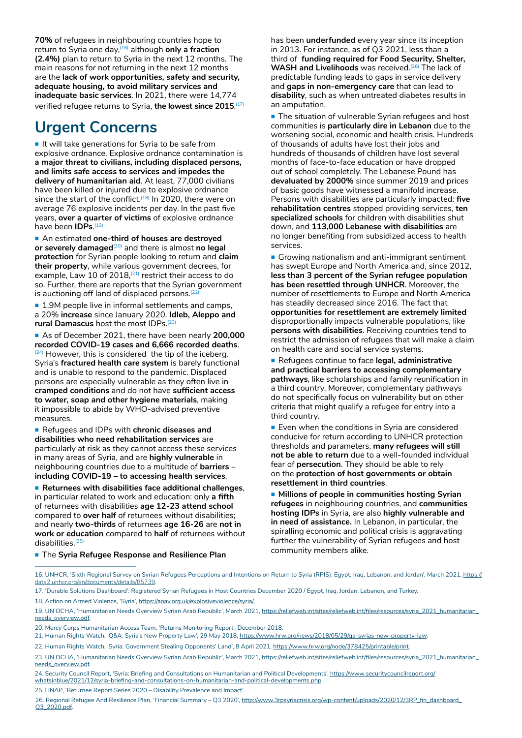**70%** of refugees in neighbouring countries hope to return to Syria one day,(16) although **only a fraction (2.4%)** plan to return to Syria in the next 12 months. The main reasons for not returning in the next 12 months are the **lack of work opportunities, safety and security, adequate housing, to avoid military services and inadequate basic services**. In 2021, there were 14,774 verified refugee returns to Syria, **the lowest since 2015**. (17)

## **Urgent Concerns**

 $\blacksquare$  It will take generations for Syria to be safe from explosive ordnance. Explosive ordnance contamination is **a major threat to civilians, including displaced persons, and limits safe access to services and impedes the delivery of humanitarian aid**. At least, 77,000 civilians have been killed or injured due to explosive ordnance since the start of the conflict.<sup> $(18)$ </sup> In 2020, there were on average 76 explosive incidents per day. In the past five years, **over a quarter of victims** of explosive ordnance have been **IDPs**. (19)

 An estimated **one-third of houses are destroyed or severely damaged**<sup>(20)</sup> and there is almost **no legal protection** for Syrian people looking to return and **claim their property**, while various government decrees, for example, Law 10 of 2018,<sup>(21)</sup> restrict their access to do so. Further, there are reports that the Syrian government is auctioning off land of displaced persons.<sup>(22</sup>)

■ 1.9M people live in informal settlements and camps, a 20% **increase** since January 2020. **Idleb, Aleppo and rural Damascus** host the most IDPs.(23)

 As of December 2021, there have been nearly **200,000 recorded COVID-19 cases and 6,666 recorded deaths**.  $(24)$  However, this is considered the tip of the iceberg. Syria's **fractured health care system** is barely functional and is unable to respond to the pandemic. Displaced persons are especially vulnerable as they often live in **cramped conditions** and do not have **sufficient access to water, soap and other hygiene materials**, making it impossible to abide by WHO-advised preventive measures.

 Refugees and IDPs with **chronic diseases and disabilities who need rehabilitation services** are particularly at risk as they cannot access these services in many areas of Syria, and are **highly vulnerable** in neighbouring countries due to a multitude of **barriers – including COVID-19 – to accessing health services**.

 **Returnees with disabilities face additional challenges**, in particular related to work and education: only **a fifth** of returnees with disabilities **age 12-23 attend school**  compared to **over half** of returnees without disabilities; and nearly **two-thirds** of returnees **age 16-26** are **not in work or education** compared to **half** of returnees without disabilities.(25)

has been **underfunded** every year since its inception in 2013. For instance, as of Q3 2021, less than a third of **funding required for Food Security, Shelter,**  WASH and Livelihoods was received.<sup>(26)</sup> The lack of predictable funding leads to gaps in service delivery and **gaps in non-emergency care** that can lead to **disability**, such as when untreated diabetes results in an amputation.

**The situation of vulnerable Syrian refugees and host** communities is **particularly dire in Lebanon** due to the worsening social, economic and health crisis. Hundreds of thousands of adults have lost their jobs and hundreds of thousands of children have lost several months of face-to-face education or have dropped out of school completely. The Lebanese Pound has **devaluated by 2000%** since summer 2019 and prices of basic goods have witnessed a manifold increase. Persons with disabilities are particularly impacted: **five rehabilitation centres** stopped providing services, **ten specialized schools** for children with disabilities shut down, and **113,000 Lebanese with disabilities** are no longer benefiting from subsidized access to health services.

Growing nationalism and anti-immigrant sentiment has swept Europe and North America and, since 2012, **less than 3 percent of the Syrian refugee population has been resettled through UNHCR**. Moreover, the number of resettlements to Europe and North America has steadily decreased since 2016. The fact that **opportunities for resettlement are extremely limited** disproportionally impacts vulnerable populations, like **persons with disabilities**. Receiving countries tend to restrict the admission of refugees that will make a claim on health care and social service systems.

■ Refugees continue to face legal, administrative **and practical barriers to accessing complementary pathways**, like scholarships and family reunification in a third country. Moreover, complementary pathways do not specifically focus on vulnerability but on other criteria that might qualify a refugee for entry into a third country.

**Even when the conditions in Syria are considered** conducive for return according to UNHCR protection thresholds and parameters, **many refugees will still not be able to return** due to a well-founded individual fear of **persecution**. They should be able to rely on the **protection of host governments or obtain resettlement in third countries**.

**Millions of people in communities hosting Syrian refugees** in neighbouring countries, and **communities hosting IDPs** in Syria, are also **highly vulnerable and in need of assistance.** In Lebanon, in particular, the spiralling economic and political crisis is aggravating further the vulnerability of Syrian refugees and host community members alike.

**The Syria Refugee Response and Resilience Plan** 

- 20. Mercy Corps Humanitarian Access Team, 'Returns Monitoring Report', December 2018.
- 21. Human Rights Watch, 'Q&A: Syria's New Property Law', 29 May 2018, [https://www.hrw.org/news/2018/05/29/qa-syrias-new-property-law.](https://www.hrw.org/news/2018/05/29/qa-syrias-new-property-law)

25. HNAP, 'Returnee Report Series 2020 – Disability Prevalence and Impact'.

26. Regional Refugee And Resilience Plan, 'Financial Summary - Q3 2020', [http://www.3rpsyriacrisis.org/wp-content/uploads/2020/12/3RP\\_fin\\_dashboard\\_](http://www.3rpsyriacrisis.org/wp-content/uploads/2020/12/3RP_fin_dashboard_Q3_2020.pdf) [Q3\\_2020.pdf](http://www.3rpsyriacrisis.org/wp-content/uploads/2020/12/3RP_fin_dashboard_Q3_2020.pdf).

<sup>16.</sup> UNHCR, 'Sixth Regional Survey on Syrian Refugees Perceptions and Intentions on Return to Syria (RPIS): Egypt, Iraq, Lebanon, and Jordan', March 2021, [https://](https://data2.unhcr.org/en/documents/details/85739) [data2.unhcr.org/en/documents/details/85739](https://data2.unhcr.org/en/documents/details/85739).

<sup>17. &#</sup>x27;Durable Solutions Dashboard': Registered Syrian Refugees in Host Countries December 2020 / Egypt, Iraq, Jordan, Lebanon, and Turkey.

<sup>18.</sup> Action on Armed Violence, 'Syria', [https://aoav.org.uk/explosiveviolence/syria/.](https://aoav.org.uk/explosiveviolence/syria/)

<sup>19.</sup> UN OCHA, 'Humanitarian Needs Overview Syrian Arab Republic', March 2021, [https://reliefweb.int/sites/reliefweb.int/files/resources/syria\\_2021\\_humanitarian\\_](https://reliefweb.int/sites/reliefweb.int/files/resources/syria_2021_humanitarian_needs_overview.pdf) [needs\\_overview.pdf.](https://reliefweb.int/sites/reliefweb.int/files/resources/syria_2021_humanitarian_needs_overview.pdf)

<sup>22.</sup> Human Rights Watch, 'Syria: Government Stealing Opponents' Land', 8 April 2021, <https://www.hrw.org/node/378425/printable/print>.

<sup>23.</sup> UN OCHA, 'Humanitarian Needs Overview Syrian Arab Republic', March 2021, [https://reliefweb.int/sites/reliefweb.int/files/resources/syria\\_2021\\_humanitarian\\_](https://reliefweb.int/sites/reliefweb.int/files/resources/syria_2021_humanitarian_needs_overview.pdf) [needs\\_overview.pdf.](https://reliefweb.int/sites/reliefweb.int/files/resources/syria_2021_humanitarian_needs_overview.pdf)

<sup>24.</sup> Security Council Report, 'Syria: Briefing and Consultations on Humanitarian and Political Developments', [https://www.securitycouncilreport.org/](https://www.securitycouncilreport.org/whatsinblue/2021/12/syria-briefing-and-consultations-on-humanitarian-and-political-developments.php) [whatsinblue/2021/12/syria-briefing-and-consultations-on-humanitarian-and-political-developments.php.](https://www.securitycouncilreport.org/whatsinblue/2021/12/syria-briefing-and-consultations-on-humanitarian-and-political-developments.php)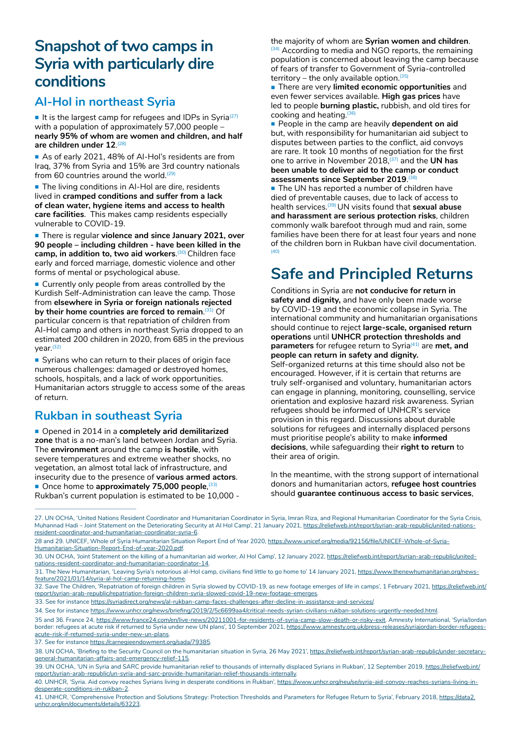# **Snapshot of two camps in Syria with particularly dire conditions**

### **Al-Hol in northeast Syria**

It is the largest camp for refugees and IDPs in Syria<sup>(27)</sup> with a population of approximately 57,000 people – **nearly 95% of whom are women and children, and half are children under 12**. (28)

As of early 2021, 48% of Al-Hol's residents are from Iraq, 37% from Syria and 15% are 3rd country nationals from 60 countries around the world.<sup>(29</sup>)

The living conditions in Al-Hol are dire, residents lived in **cramped conditions and suffer from a lack of clean water, hygiene items and access to health care facilities**. This makes camp residents especially vulnerable to COVID-19.

■ There is regular **violence and since January 2021, over 90 people – including children - have been killed in the**  camp, in addition to, two aid workers.<sup>(30)</sup> Children face early and forced marriage, domestic violence and other forms of mental or psychological abuse.

**Currently only people from areas controlled by the** Kurdish Self-Administration can leave the camp. Those from **elsewhere in Syria or foreign nationals rejected**  by their home countries are forced to remain.<sup>(31)</sup> Of particular concern is that repatriation of children from Al-Hol camp and others in northeast Syria dropped to an estimated 200 children in 2020, from 685 in the previous year.(32)

Syrians who can return to their places of origin face numerous challenges: damaged or destroyed homes, schools, hospitals, and a lack of work opportunities. Humanitarian actors struggle to access some of the areas of return.

### **Rukban in southeast Syria**

■ Opened in 2014 in a **completely arid demilitarized zone** that is a no-man's land between Jordan and Syria. The **environment** around the camp **is hostile**, with severe temperatures and extreme weather shocks, no vegetation, an almost total lack of infrastructure, and insecurity due to the presence of **various armed actors**. **Once home to approximately 75,000 people**, <sup>(33)</sup> Rukban's current population is estimated to be 10,000 - the majority of whom are **Syrian women and children**. (34) According to media and NGO reports, the remaining population is concerned about leaving the camp because of fears of transfer to Government of Syria-controlled territory – the only available option.  $(35)$ 

**There are very limited economic opportunities** and even fewer services available. **High gas prices** have led to people **burning plastic,** rubbish, and old tires for cooking and heating. $(36)$ 

**People in the camp are heavily dependent on aid** but, with responsibility for humanitarian aid subject to disputes between parties to the conflict, aid convoys are rare. It took 10 months of negotiation for the first one to arrive in November 2018,(37) and the **UN has been unable to deliver aid to the camp or conduct assessments since September 2019**. (38)

■ The UN has reported a number of children have died of preventable causes, due to lack of access to health services.(39) UN visits found that **sexual abuse and harassment are serious protection risks**, children commonly walk barefoot through mud and rain, some families have been there for at least four years and none of the children born in Rukban have civil documentation. (40)

# **Safe and Principled Returns**

Conditions in Syria are **not conducive for return in safety and dignity,** and have only been made worse by COVID-19 and the economic collapse in Syria. The international community and humanitarian organisations should continue to reject **large-scale, organised return operations** until **UNHCR protection thresholds and parameters** for refugee return to Syria<sup>(41)</sup> are met, and **people can return in safety and dignity.**

Self-organized returns at this time should also not be encouraged. However, if it is certain that returns are truly self-organised and voluntary, humanitarian actors can engage in planning, monitoring, counselling, service orientation and explosive hazard risk awareness. Syrian refugees should be informed of UNHCR's service provision in this regard. Discussions about durable solutions for refugees and internally displaced persons must prioritise people's ability to make **informed decisions**, while safeguarding their **right to return** to their area of origin.

In the meantime, with the strong support of international donors and humanitarian actors, **refugee host countries** should **guarantee continuous access to basic services**,

33. See for instance [https://syriadirect.org/news/al-rukban-camp-faces-challenges-after-decline-in-assistance-and-services/.](https://syriadirect.org/news/al-rukban-camp-faces-challenges-after-decline-in-assistance-and-services/)

<sup>27.</sup> UN OCHA, 'United Nations Resident Coordinator and Humanitarian Coordinator in Syria, Imran Riza, and Regional Humanitarian Coordinator for the Syria Crisis, Muhannad Hadi - Joint Statement on the Deteriorating Security at Al Hol Camp', 21 January 2021, [https://reliefweb.int/report/syrian-arab-republic/united-nations](https://reliefweb.int/report/syrian-arab-republic/united-nations-resident-coordinator-and-humanitarian-coordinator-syria-6)[resident-coordinator-and-humanitarian-coordinator-syria-6](https://reliefweb.int/report/syrian-arab-republic/united-nations-resident-coordinator-and-humanitarian-coordinator-syria-6).

<sup>28</sup> and 29. UNICEF, Whole of Syria Humanitarian Situation Report End of Year 2020, [https://www.unicef.org/media/92156/file/UNICEF-Whole-of-Syria-](https://www.unicef.org/media/92156/file/UNICEF-Whole-of-Syria-Humanitarian-Situation-Report-End-of-year-2020.pdf)[Humanitarian-Situation-Report-End-of-year-2020.pdf.](https://www.unicef.org/media/92156/file/UNICEF-Whole-of-Syria-Humanitarian-Situation-Report-End-of-year-2020.pdf)

<sup>30.</sup> UN OCHA, 'Joint Statement on the killing of a humanitarian aid worker, Al Hol Camp', 12 January 2022, [https://reliefweb.int/report/syrian-arab-republic/united](https://reliefweb.int/report/syrian-arab-republic/united-nations-resident-coordinator-and-humanitarian-coordinator-14)[nations-resident-coordinator-and-humanitarian-coordinator-14.](https://reliefweb.int/report/syrian-arab-republic/united-nations-resident-coordinator-and-humanitarian-coordinator-14)

<sup>31.</sup> The New Humanitarian, 'Leaving Syria's notorious al-Hol camp, civilians find little to go home to' 14 January 2021, [https://www.thenewhumanitarian.org/news](https://www.thenewhumanitarian.org/news-feature/2021/01/14/syria-al-hol-camp-returning-home)[feature/2021/01/14/syria-al-hol-camp-returning-home.](https://www.thenewhumanitarian.org/news-feature/2021/01/14/syria-al-hol-camp-returning-home)

<sup>32.</sup> Save The Children, 'Repatriation of foreign children in Syria slowed by COVID-19, as new footage emerges of life in camps', 1 February 2021, [https://reliefweb.int/](https://reliefweb.int/report/syrian-arab-republic/repatriation-foreign-children-syria-slowed-covid-19-new-footage-emerges) [report/syrian-arab-republic/repatriation-foreign-children-syria-slowed-covid-19-new-footage-emerges.](https://reliefweb.int/report/syrian-arab-republic/repatriation-foreign-children-syria-slowed-covid-19-new-footage-emerges)

<sup>34.</sup> See for instance<https://www.unhcr.org/news/briefing/2019/2/5c6699aa4/critical-needs-syrian-civilians-rukban-solutions-urgently-needed.html>.

<sup>35</sup> and 36. France 24, [https://www.france24.com/en/live-news/20211001-for-residents-of-syria-camp-slow-death-or-risky-exit.](https://www.france24.com/en/live-news/20211001-for-residents-of-syria-camp-slow-death-or-risky-exit) Amnesty International, 'Syria/Jordan border: refugees at acute risk if returned to Syria under new UN plans', 10 September 2021, [https://www.amnesty.org.uk/press-releases/syriajordan-border-refugees](https://www.amnesty.org.uk/press-releases/syriajordan-border-refugees-acute-risk-if-returned-syria-under-new-un-plans)[acute-risk-if-returned-syria-under-new-un-plans.](https://www.amnesty.org.uk/press-releases/syriajordan-border-refugees-acute-risk-if-returned-syria-under-new-un-plans)

<sup>37.</sup> See for instance [https://carnegieendowment.org/sada/79385.](https://carnegieendowment.org/sada/79385)

<sup>38.</sup> UN OCHA, 'Briefing to the Security Council on the humanitarian situation in Syria, 26 May 2021', [https://reliefweb.int/report/syrian-arab-republic/under-secretary](https://reliefweb.int/report/syrian-arab-republic/under-secretary-general-humanitarian-affairs-and-emergency-relief-115)[general-humanitarian-affairs-and-emergency-relief-115](https://reliefweb.int/report/syrian-arab-republic/under-secretary-general-humanitarian-affairs-and-emergency-relief-115).

<sup>39.</sup> UN OCHA, 'UN in Syria and SARC provide humanitarian relief to thousands of internally displaced Syrians in Rukban', 12 September 2019, [https://reliefweb.int/](https://reliefweb.int/report/syrian-arab-republic/un-syria-and-sarc-provide-humanitarian-relief-thousands-internally) [report/syrian-arab-republic/un-syria-and-sarc-provide-humanitarian-relief-thousands-internally.](https://reliefweb.int/report/syrian-arab-republic/un-syria-and-sarc-provide-humanitarian-relief-thousands-internally)

<sup>40.</sup> UNHCR, 'Syria. Aid convoy reaches Syrians living in desperate conditions in Rukban', [https://www.unhcr.org/neu/se/syria-aid-convoy-reaches-syrians-living-in](https://www.unhcr.org/neu/se/syria-aid-convoy-reaches-syrians-living-in-desperate-conditions-in-rukban-2)[desperate-conditions-in-rukban-2](https://www.unhcr.org/neu/se/syria-aid-convoy-reaches-syrians-living-in-desperate-conditions-in-rukban-2).

<sup>41.</sup> UNHCR, 'Comprehensive Protection and Solutions Strategy: Protection Thresholds and Parameters for Refugee Return to Syria', February 2018, [https://data2.](https://data2.unhcr.org/en/documents/details/63223) [unhcr.org/en/documents/details/63223](https://data2.unhcr.org/en/documents/details/63223).